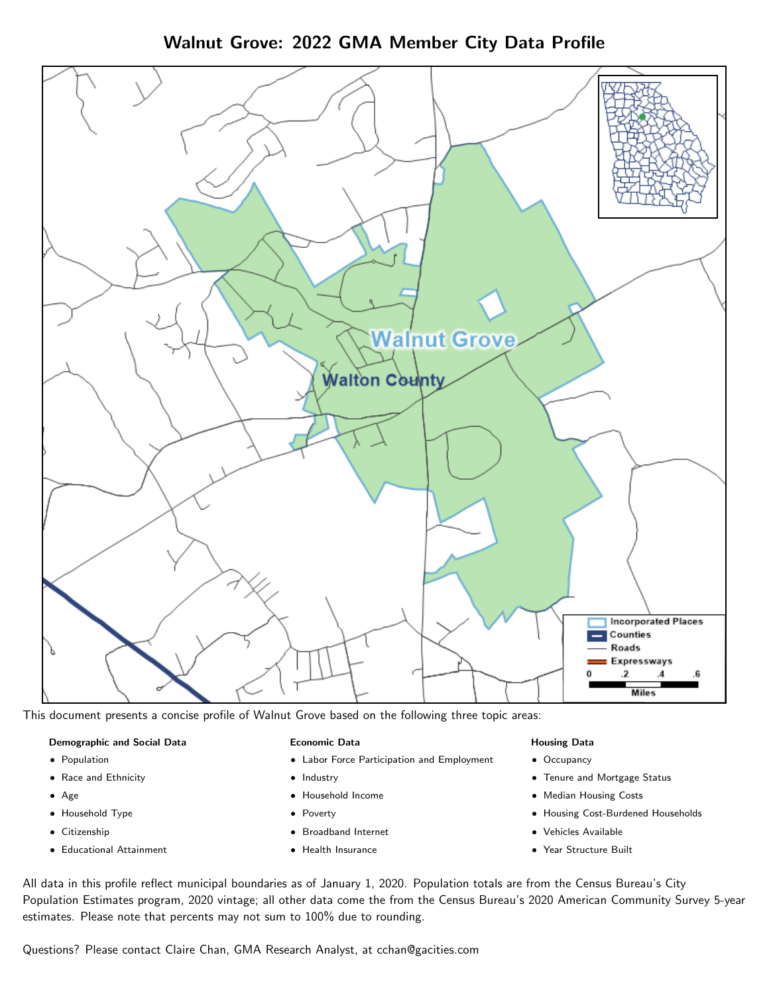Walnut Grove: 2022 GMA Member City Data Profile



This document presents a concise profile of Walnut Grove based on the following three topic areas:

#### Demographic and Social Data

- **•** Population
- Race and Ethnicity
- Age
- Household Type
- **Citizenship**
- Educational Attainment

#### Economic Data

- Labor Force Participation and Employment
- Industry
- Household Income
- Poverty
- Broadband Internet
- Health Insurance

#### Housing Data

- Occupancy
- Tenure and Mortgage Status
- Median Housing Costs
- Housing Cost-Burdened Households
- Vehicles Available
- Year Structure Built

All data in this profile reflect municipal boundaries as of January 1, 2020. Population totals are from the Census Bureau's City Population Estimates program, 2020 vintage; all other data come the from the Census Bureau's 2020 American Community Survey 5-year estimates. Please note that percents may not sum to 100% due to rounding.

Questions? Please contact Claire Chan, GMA Research Analyst, at [cchan@gacities.com.](mailto:cchan@gacities.com)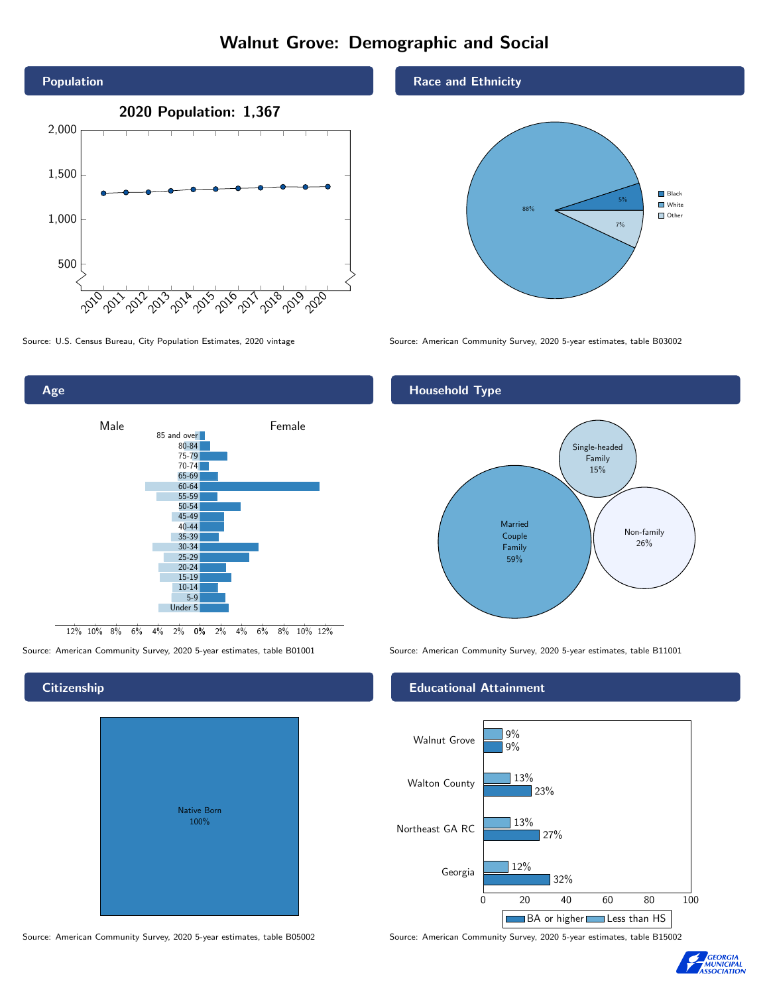# Walnut Grove: Demographic and Social





0% 2% 4% 6% 8% 10% 12% 12% 10% 8% 6% 4% 2% Male **Female** 85 and over 80-84 75-79 70-74 65-69 60-64 55-59 50-54 45-49 40-44 35-39 30-34 25-29 20-24 15-19 10-14 5-9 Under 5

## **Citizenship**

Age

| <b>Native Born</b><br>100% |  |
|----------------------------|--|
|                            |  |

Source: American Community Survey, 2020 5-year estimates, table B05002 Source: American Community Survey, 2020 5-year estimates, table B15002

#### Race and Ethnicity



#### Household Type



Source: American Community Survey, 2020 5-year estimates, table B01001 Source: American Community Survey, 2020 5-year estimates, table B11001

#### Educational Attainment



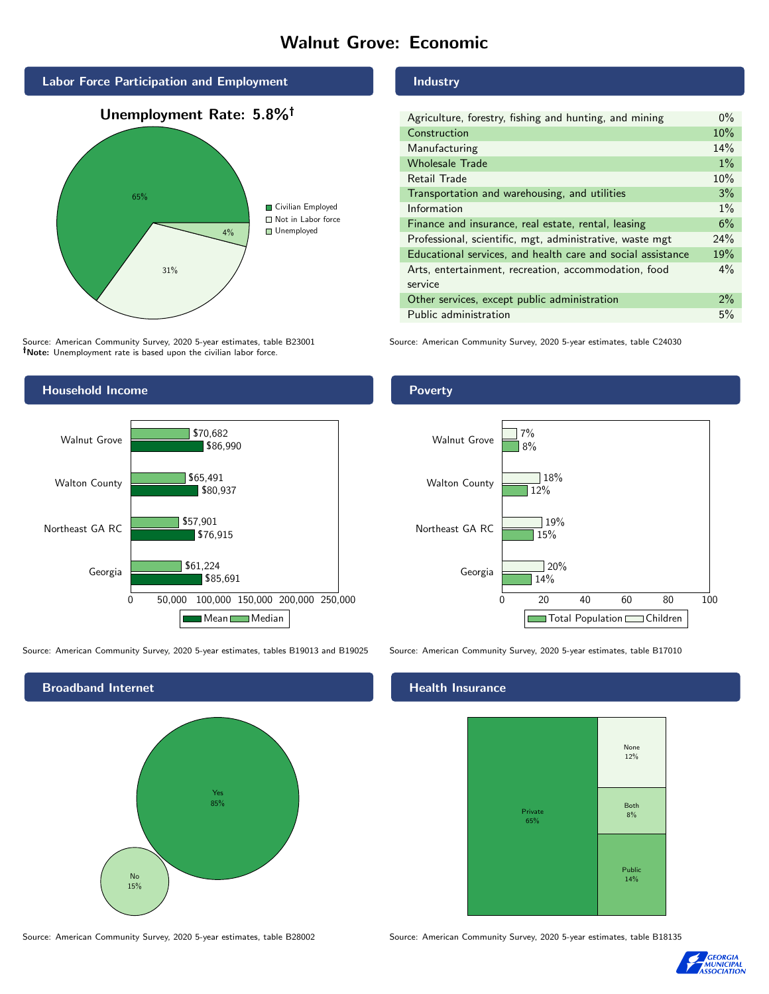## Walnut Grove: Economic



Source: American Community Survey, 2020 5-year estimates, table B23001 Note: Unemployment rate is based upon the civilian labor force.

#### Industry

| Agriculture, forestry, fishing and hunting, and mining      | $0\%$ |  |
|-------------------------------------------------------------|-------|--|
| Construction                                                |       |  |
| Manufacturing                                               | 14%   |  |
| <b>Wholesale Trade</b>                                      | $1\%$ |  |
| Retail Trade                                                |       |  |
| Transportation and warehousing, and utilities               |       |  |
| Information                                                 |       |  |
| Finance and insurance, real estate, rental, leasing         |       |  |
| Professional, scientific, mgt, administrative, waste mgt    |       |  |
| Educational services, and health care and social assistance |       |  |
| Arts, entertainment, recreation, accommodation, food        |       |  |
| service                                                     |       |  |
| Other services, except public administration                |       |  |
| Public administration                                       |       |  |

Source: American Community Survey, 2020 5-year estimates, table C24030



Source: American Community Survey, 2020 5-year estimates, tables B19013 and B19025 Source: American Community Survey, 2020 5-year estimates, table B17010



#### Poverty



#### Health Insurance



Source: American Community Survey, 2020 5-year estimates, table B28002 Source: American Community Survey, 2020 5-year estimates, table B18135